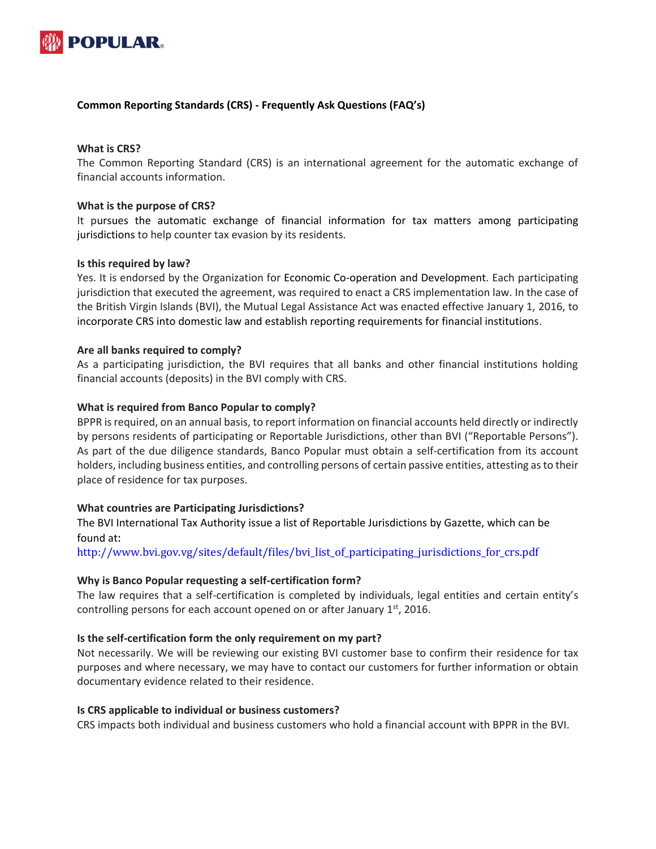

### **Common Reporting Standards (CRS) - Frequently Ask Questions (FAQ's)**

### **What is CRS?**

The Common Reporting Standard (CRS) is an international agreement for the automatic exchange of financial accounts information.

### **What is the purpose of CRS?**

It pursues the automatic exchange of financial information for tax matters among participating jurisdictions to help counter tax evasion by its residents.

### **Is this required by law?**

Yes. It is endorsed by the Organization for Economic Co-operation and Development. Each participating jurisdiction that executed the agreement, was required to enact a CRS implementation law. In the case of the British Virgin Islands (BVI), the Mutual Legal Assistance Act was enacted effective January 1, 2016, to incorporate CRS into domestic law and establish reporting requirements for financial institutions.

### **Are all banks required to comply?**

As a participating jurisdiction, the BVI requires that all banks and other financial institutions holding financial accounts (deposits) in the BVI comply with CRS.

### **What is required from Banco Popular to comply?**

BPPR is required, on an annual basis, to report information on financial accounts held directly or indirectly by persons residents of participating or Reportable Jurisdictions, other than BVI ("Reportable Persons"). As part of the due diligence standards, Banco Popular must obtain a self-certification from its account holders, including business entities, and controlling persons of certain passive entities, attesting as to their place of residence for tax purposes.

### **What countries are Participating Jurisdictions?**

The BVI International Tax Authority issue a list of Reportable Jurisdictions by Gazette, which can be found at:

http://www.bvi.gov.vg/sites/default/files/bvi\_list\_of\_participating\_jurisdictions\_for\_crs.pdf

### **Why is Banco Popular requesting a self-certification form?**

The law requires that a self-certification is completed by individuals, legal entities and certain entity's controlling persons for each account opened on or after January  $1<sup>st</sup>$ , 2016.

### **Is the self-certification form the only requirement on my part?**

Not necessarily. We will be reviewing our existing BVI customer base to confirm their residence for tax purposes and where necessary, we may have to contact our customers for further information or obtain documentary evidence related to their residence.

### **Is CRS applicable to individual or business customers?**

CRS impacts both individual and business customers who hold a financial account with BPPR in the BVI.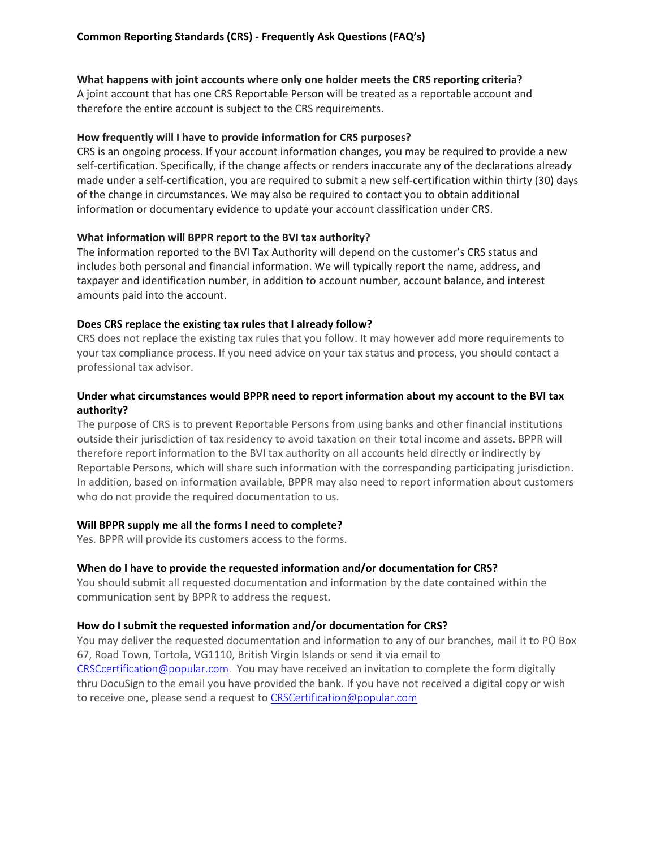### **What happens with joint accounts where only one holder meets the CRS reporting criteria?**

A joint account that has one CRS Reportable Person will be treated as a reportable account and therefore the entire account is subject to the CRS requirements.

#### **How frequently will I have to provide information for CRS purposes?**

CRS is an ongoing process. If your account information changes, you may be required to provide a new self-certification. Specifically, if the change affects or renders inaccurate any of the declarations already made under a self-certification, you are required to submit a new self-certification within thirty (30) days of the change in circumstances. We may also be required to contact you to obtain additional information or documentary evidence to update your account classification under CRS.

### **What information will BPPR report to the BVI tax authority?**

The information reported to the BVI Tax Authority will depend on the customer's CRS status and includes both personal and financial information. We will typically report the name, address, and taxpayer and identification number, in addition to account number, account balance, and interest amounts paid into the account.

### **Does CRS replace the existing tax rules that I already follow?**

CRS does not replace the existing tax rules that you follow. It may however add more requirements to your tax compliance process. If you need advice on your tax status and process, you should contact a professional tax advisor.

# **Under what circumstances would BPPR need to report information about my account to the BVI tax authority?**

The purpose of CRS is to prevent Reportable Persons from using banks and other financial institutions outside their jurisdiction of tax residency to avoid taxation on their total income and assets. BPPR will therefore report information to the BVI tax authority on all accounts held directly or indirectly by Reportable Persons, which will share such information with the corresponding participating jurisdiction. In addition, based on information available, BPPR may also need to report information about customers who do not provide the required documentation to us.

### **Will BPPR supply me all the forms I need to complete?**

Yes. BPPR will provide its customers access to the forms.

### **When do I have to provide the requested information and/or documentation for CRS?**

You should submit all requested documentation and information by the date contained within the communication sent by BPPR to address the request.

### **How do I submit the requested information and/or documentation for CRS?**

You may deliver the requested documentation and information to any of our branches, mail it to PO Box 67, Road Town, Tortola, VG1110, British Virgin Islands or send it via email to CRSCcertification@popular.com. You may have received an invitation to complete the form digitally thru DocuSign to the email you have provided the bank. If you have not received a digital copy or wish to receive one, please send a request to [CRSCertification@popular.com](mailto:CRSCertification@popular.com)